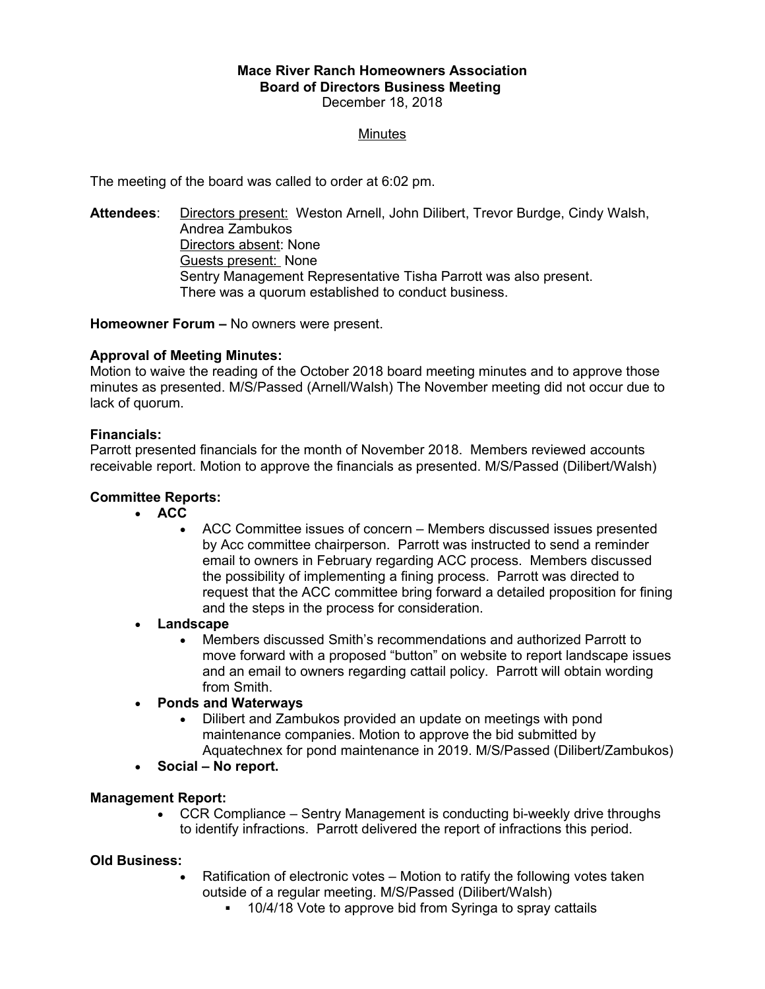#### **Mace River Ranch Homeowners Association Board of Directors Business Meeting**  December 18, 2018

### **Minutes**

The meeting of the board was called to order at 6:02 pm.

**Attendees**: Directors present: Weston Arnell, John Dilibert, Trevor Burdge, Cindy Walsh, Andrea Zambukos Directors absent: None Guests present: None Sentry Management Representative Tisha Parrott was also present. There was a quorum established to conduct business.

**Homeowner Forum –** No owners were present.

### **Approval of Meeting Minutes:**

Motion to waive the reading of the October 2018 board meeting minutes and to approve those minutes as presented. M/S/Passed (Arnell/Walsh) The November meeting did not occur due to lack of quorum.

### **Financials:**

Parrott presented financials for the month of November 2018. Members reviewed accounts receivable report. Motion to approve the financials as presented. M/S/Passed (Dilibert/Walsh)

# **Committee Reports:**

- **ACC**
	- ACC Committee issues of concern Members discussed issues presented by Acc committee chairperson. Parrott was instructed to send a reminder email to owners in February regarding ACC process. Members discussed the possibility of implementing a fining process. Parrott was directed to request that the ACC committee bring forward a detailed proposition for fining and the steps in the process for consideration.
- **Landscape**
	- Members discussed Smith's recommendations and authorized Parrott to move forward with a proposed "button" on website to report landscape issues and an email to owners regarding cattail policy. Parrott will obtain wording from Smith.
- **Ponds and Waterways**
	- Dilibert and Zambukos provided an update on meetings with pond maintenance companies. Motion to approve the bid submitted by Aquatechnex for pond maintenance in 2019. M/S/Passed (Dilibert/Zambukos)
- **Social No report.**

#### **Management Report:**

 CCR Compliance – Sentry Management is conducting bi-weekly drive throughs to identify infractions. Parrott delivered the report of infractions this period.

# **Old Business:**

- Ratification of electronic votes Motion to ratify the following votes taken outside of a regular meeting. M/S/Passed (Dilibert/Walsh)
	- <sup>•</sup> 10/4/18 Vote to approve bid from Syringa to spray cattails